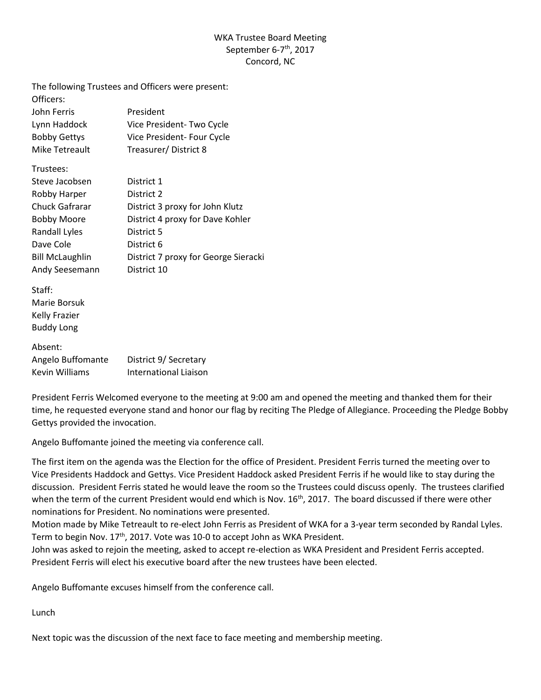## WKA Trustee Board Meeting September 6-7<sup>th</sup>, 2017 Concord, NC

The following Trustees and Officers were present:

| Officers:           |                            |
|---------------------|----------------------------|
| John Ferris         | President                  |
| Lynn Haddock        | Vice President-Two Cycle   |
| <b>Bobby Gettys</b> | Vice President- Four Cycle |
| Mike Tetreault      | Treasurer/District 8       |

Trustees:

| Steve Jacobsen         | District 1                           |
|------------------------|--------------------------------------|
| Robby Harper           | District 2                           |
| Chuck Gafrarar         | District 3 proxy for John Klutz      |
| <b>Bobby Moore</b>     | District 4 proxy for Dave Kohler     |
| Randall Lyles          | District 5                           |
| Dave Cole              | District 6                           |
| <b>Bill McLaughlin</b> | District 7 proxy for George Sieracki |
| Andy Seesemann         | District 10                          |

Staff: Marie Borsuk Kelly Frazier Buddy Long

# Absent: Angelo Buffomante District 9/ Secretary Kevin Williams International Liaison

President Ferris Welcomed everyone to the meeting at 9:00 am and opened the meeting and thanked them for their time, he requested everyone stand and honor our flag by reciting The Pledge of Allegiance. Proceeding the Pledge Bobby Gettys provided the invocation.

Angelo Buffomante joined the meeting via conference call.

The first item on the agenda was the Election for the office of President. President Ferris turned the meeting over to Vice Presidents Haddock and Gettys. Vice President Haddock asked President Ferris if he would like to stay during the discussion. President Ferris stated he would leave the room so the Trustees could discuss openly. The trustees clarified when the term of the current President would end which is Nov. 16<sup>th</sup>, 2017. The board discussed if there were other nominations for President. No nominations were presented.

Motion made by Mike Tetreault to re-elect John Ferris as President of WKA for a 3-year term seconded by Randal Lyles. Term to begin Nov. 17<sup>th</sup>, 2017. Vote was 10-0 to accept John as WKA President.

John was asked to rejoin the meeting, asked to accept re-election as WKA President and President Ferris accepted. President Ferris will elect his executive board after the new trustees have been elected.

Angelo Buffomante excuses himself from the conference call.

Lunch

Next topic was the discussion of the next face to face meeting and membership meeting.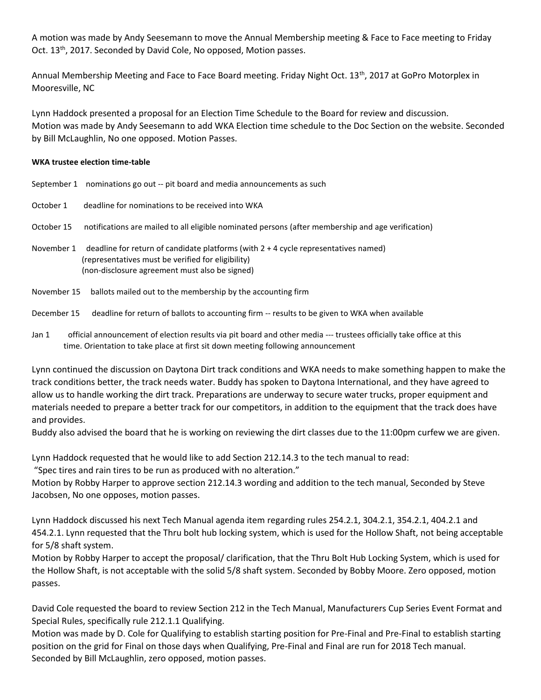A motion was made by Andy Seesemann to move the Annual Membership meeting & Face to Face meeting to Friday Oct. 13th, 2017. Seconded by David Cole, No opposed, Motion passes.

Annual Membership Meeting and Face to Face Board meeting. Friday Night Oct. 13<sup>th</sup>, 2017 at GoPro Motorplex in Mooresville, NC

Lynn Haddock presented a proposal for an Election Time Schedule to the Board for review and discussion. Motion was made by Andy Seesemann to add WKA Election time schedule to the Doc Section on the website. Seconded by Bill McLaughlin, No one opposed. Motion Passes.

#### **WKA trustee election time-table**

|            | September 1 nominations go out -- pit board and media announcements as such                                                                                                                   |
|------------|-----------------------------------------------------------------------------------------------------------------------------------------------------------------------------------------------|
| October 1  | deadline for nominations to be received into WKA                                                                                                                                              |
| October 15 | notifications are mailed to all eligible nominated persons (after membership and age verification)                                                                                            |
| November 1 | deadline for return of candidate platforms (with $2 + 4$ cycle representatives named)<br>(representatives must be verified for eligibility)<br>(non-disclosure agreement must also be signed) |

November 15 ballots mailed out to the membership by the accounting firm

#### December 15 deadline for return of ballots to accounting firm -- results to be given to WKA when available

Jan 1 official announcement of election results via pit board and other media --- trustees officially take office at this time. Orientation to take place at first sit down meeting following announcement

Lynn continued the discussion on Daytona Dirt track conditions and WKA needs to make something happen to make the track conditions better, the track needs water. Buddy has spoken to Daytona International, and they have agreed to allow us to handle working the dirt track. Preparations are underway to secure water trucks, proper equipment and materials needed to prepare a better track for our competitors, in addition to the equipment that the track does have and provides.

Buddy also advised the board that he is working on reviewing the dirt classes due to the 11:00pm curfew we are given.

Lynn Haddock requested that he would like to add Section 212.14.3 to the tech manual to read:

"Spec tires and rain tires to be run as produced with no alteration."

Motion by Robby Harper to approve section 212.14.3 wording and addition to the tech manual, Seconded by Steve Jacobsen, No one opposes, motion passes.

Lynn Haddock discussed his next Tech Manual agenda item regarding rules 254.2.1, 304.2.1, 354.2.1, 404.2.1 and 454.2.1. Lynn requested that the Thru bolt hub locking system, which is used for the Hollow Shaft, not being acceptable for 5/8 shaft system.

Motion by Robby Harper to accept the proposal/ clarification, that the Thru Bolt Hub Locking System, which is used for the Hollow Shaft, is not acceptable with the solid 5/8 shaft system. Seconded by Bobby Moore. Zero opposed, motion passes.

David Cole requested the board to review Section 212 in the Tech Manual, Manufacturers Cup Series Event Format and Special Rules, specifically rule 212.1.1 Qualifying.

Motion was made by D. Cole for Qualifying to establish starting position for Pre-Final and Pre-Final to establish starting position on the grid for Final on those days when Qualifying, Pre-Final and Final are run for 2018 Tech manual. Seconded by Bill McLaughlin, zero opposed, motion passes.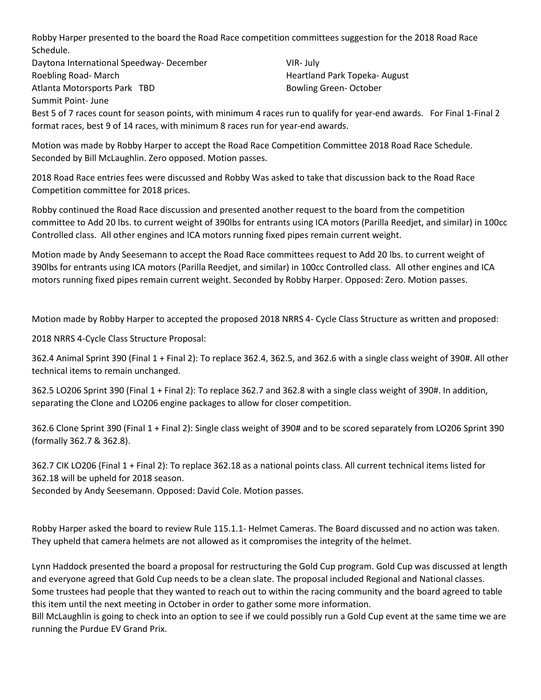Robby Harper presented to the board the Road Race competition committees suggestion for the 2018 Road Race Schedule.

Daytona International Speedway- December VIR- July Roebling Road- March **Heartland Park Topeka- August** Heartland Park Topeka- August Atlanta Motorsports Park TBD **Bowling Green- October** Bowling Green- October Summit Point- June

Best 5 of 7 races count for season points, with minimum 4 races run to qualify for year-end awards. For Final 1-Final 2 format races, best 9 of 14 races, with minimum 8 races run for year-end awards.

Motion was made by Robby Harper to accept the Road Race Competition Committee 2018 Road Race Schedule. Seconded by Bill McLaughlin. Zero opposed. Motion passes.

2018 Road Race entries fees were discussed and Robby Was asked to take that discussion back to the Road Race Competition committee for 2018 prices.

Robby continued the Road Race discussion and presented another request to the board from the competition committee to Add 20 lbs. to current weight of 390lbs for entrants using ICA motors (Parilla Reedjet, and similar) in 100cc Controlled class. All other engines and ICA motors running fixed pipes remain current weight.

Motion made by Andy Seesemann to accept the Road Race committees request to Add 20 lbs. to current weight of 390lbs for entrants using ICA motors (Parilla Reedjet, and similar) in 100cc Controlled class. All other engines and ICA motors running fixed pipes remain current weight. Seconded by Robby Harper. Opposed: Zero. Motion passes.

Motion made by Robby Harper to accepted the proposed 2018 NRRS 4- Cycle Class Structure as written and proposed:

2018 NRRS 4-Cycle Class Structure Proposal:

362.4 Animal Sprint 390 (Final 1 + Final 2): To replace 362.4, 362.5, and 362.6 with a single class weight of 390#. All other technical items to remain unchanged.

362.5 LO206 Sprint 390 (Final 1 + Final 2): To replace 362.7 and 362.8 with a single class weight of 390#. In addition, separating the Clone and LO206 engine packages to allow for closer competition.

362.6 Clone Sprint 390 (Final 1 + Final 2): Single class weight of 390# and to be scored separately from LO206 Sprint 390 (formally 362.7 & 362.8).

362.7 CIK LO206 (Final 1 + Final 2): To replace 362.18 as a national points class. All current technical items listed for 362.18 will be upheld for 2018 season.

Seconded by Andy Seesemann. Opposed: David Cole. Motion passes.

Robby Harper asked the board to review Rule 115.1.1- Helmet Cameras. The Board discussed and no action was taken. They upheld that camera helmets are not allowed as it compromises the integrity of the helmet.

Lynn Haddock presented the board a proposal for restructuring the Gold Cup program. Gold Cup was discussed at length and everyone agreed that Gold Cup needs to be a clean slate. The proposal included Regional and National classes. Some trustees had people that they wanted to reach out to within the racing community and the board agreed to table this item until the next meeting in October in order to gather some more information.

Bill McLaughlin is going to check into an option to see if we could possibly run a Gold Cup event at the same time we are running the Purdue EV Grand Prix.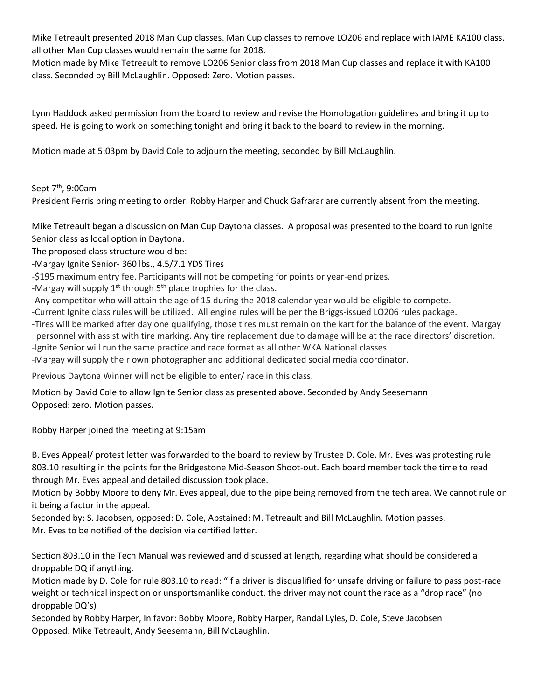Mike Tetreault presented 2018 Man Cup classes. Man Cup classes to remove LO206 and replace with IAME KA100 class. all other Man Cup classes would remain the same for 2018.

Motion made by Mike Tetreault to remove LO206 Senior class from 2018 Man Cup classes and replace it with KA100 class. Seconded by Bill McLaughlin. Opposed: Zero. Motion passes.

Lynn Haddock asked permission from the board to review and revise the Homologation guidelines and bring it up to speed. He is going to work on something tonight and bring it back to the board to review in the morning.

Motion made at 5:03pm by David Cole to adjourn the meeting, seconded by Bill McLaughlin.

## Sept 7<sup>th</sup>, 9:00am

President Ferris bring meeting to order. Robby Harper and Chuck Gafrarar are currently absent from the meeting.

Mike Tetreault began a discussion on Man Cup Daytona classes. A proposal was presented to the board to run Ignite Senior class as local option in Daytona.

The proposed class structure would be:

-Margay Ignite Senior- 360 lbs., 4.5/7.1 YDS Tires

-\$195 maximum entry fee. Participants will not be competing for points or year-end prizes.

-Margay will supply  $1<sup>st</sup>$  through  $5<sup>th</sup>$  place trophies for the class.

-Any competitor who will attain the age of 15 during the 2018 calendar year would be eligible to compete.

-Current Ignite class rules will be utilized. All engine rules will be per the Briggs-issued LO206 rules package.

- -Tires will be marked after day one qualifying, those tires must remain on the kart for the balance of the event. Margay personnel with assist with tire marking. Any tire replacement due to damage will be at the race directors' discretion. -Ignite Senior will run the same practice and race format as all other WKA National classes.
- -Margay will supply their own photographer and additional dedicated social media coordinator.

Previous Daytona Winner will not be eligible to enter/ race in this class.

Motion by David Cole to allow Ignite Senior class as presented above. Seconded by Andy Seesemann Opposed: zero. Motion passes.

Robby Harper joined the meeting at 9:15am

B. Eves Appeal/ protest letter was forwarded to the board to review by Trustee D. Cole. Mr. Eves was protesting rule 803.10 resulting in the points for the Bridgestone Mid-Season Shoot-out. Each board member took the time to read through Mr. Eves appeal and detailed discussion took place.

Motion by Bobby Moore to deny Mr. Eves appeal, due to the pipe being removed from the tech area. We cannot rule on it being a factor in the appeal.

Seconded by: S. Jacobsen, opposed: D. Cole, Abstained: M. Tetreault and Bill McLaughlin. Motion passes. Mr. Eves to be notified of the decision via certified letter.

Section 803.10 in the Tech Manual was reviewed and discussed at length, regarding what should be considered a droppable DQ if anything.

Motion made by D. Cole for rule 803.10 to read: "If a driver is disqualified for unsafe driving or failure to pass post-race weight or technical inspection or unsportsmanlike conduct, the driver may not count the race as a "drop race" (no droppable DQ's)

Seconded by Robby Harper, In favor: Bobby Moore, Robby Harper, Randal Lyles, D. Cole, Steve Jacobsen Opposed: Mike Tetreault, Andy Seesemann, Bill McLaughlin.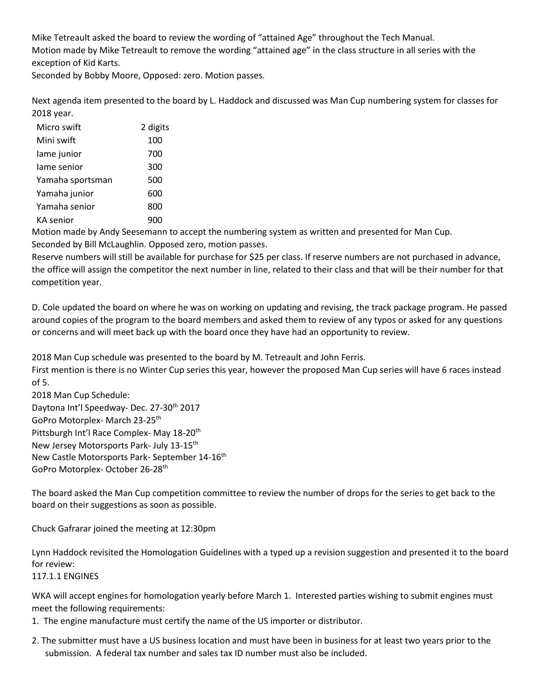Mike Tetreault asked the board to review the wording of "attained Age" throughout the Tech Manual. Motion made by Mike Tetreault to remove the wording "attained age" in the class structure in all series with the exception of Kid Karts.

Seconded by Bobby Moore, Opposed: zero. Motion passes.

Next agenda item presented to the board by L. Haddock and discussed was Man Cup numbering system for classes for 2018 year.

| Micro swift      | 2 digits |
|------------------|----------|
| Mini swift       | 100      |
| lame junior      | 700      |
| lame senior      | 300      |
| Yamaha sportsman | 500      |
| Yamaha junior    | 600      |
| Yamaha senior    | 800      |
| KA senior        |          |

Motion made by Andy Seesemann to accept the numbering system as written and presented for Man Cup. Seconded by Bill McLaughlin. Opposed zero, motion passes.

Reserve numbers will still be available for purchase for \$25 per class. If reserve numbers are not purchased in advance, the office will assign the competitor the next number in line, related to their class and that will be their number for that competition year.

D. Cole updated the board on where he was on working on updating and revising, the track package program. He passed around copies of the program to the board members and asked them to review of any typos or asked for any questions or concerns and will meet back up with the board once they have had an opportunity to review.

2018 Man Cup schedule was presented to the board by M. Tetreault and John Ferris.

First mention is there is no Winter Cup series this year, however the proposed Man Cup series will have 6 races instead of 5.

2018 Man Cup Schedule: Daytona Int'l Speedway- Dec. 27-30<sup>th</sup> 2017 GoPro Motorplex- March 23-25th Pittsburgh Int'l Race Complex- May 18-20<sup>th</sup> [New Jersey Motorsports Park-](https://www.google.com/url?sa=t&rct=j&q=&esrc=s&source=web&cd=1&cad=rja&uact=8&ved=0ahUKEwin4OHWnZbWAhWBYiYKHdhnB9UQFggnMAA&url=http%3A%2F%2Fwww.njmp.com%2F&usg=AFQjCNGohw3VeRVCBvS3r59Ef015tz_Jsg) July 13-15th New Castle Motorsports Park- September 14-16<sup>th</sup> GoPro Motorplex- October 26-28th

The board asked the Man Cup competition committee to review the number of drops for the series to get back to the board on their suggestions as soon as possible.

Chuck Gafrarar joined the meeting at 12:30pm

Lynn Haddock revisited the Homologation Guidelines with a typed up a revision suggestion and presented it to the board for review:

117.1.1 ENGINES

WKA will accept engines for homologation yearly before March 1. Interested parties wishing to submit engines must meet the following requirements:

- 1. The engine manufacture must certify the name of the US importer or distributor.
- 2. The submitter must have a US business location and must have been in business for at least two years prior to the submission. A federal tax number and sales tax ID number must also be included.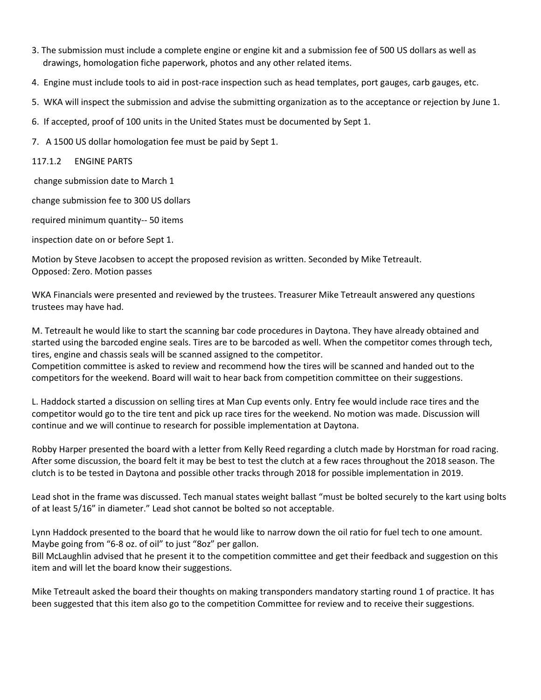- 3. The submission must include a complete engine or engine kit and a submission fee of 500 US dollars as well as drawings, homologation fiche paperwork, photos and any other related items.
- 4. Engine must include tools to aid in post-race inspection such as head templates, port gauges, carb gauges, etc.
- 5. WKA will inspect the submission and advise the submitting organization as to the acceptance or rejection by June 1.
- 6. If accepted, proof of 100 units in the United States must be documented by Sept 1.
- 7. A 1500 US dollar homologation fee must be paid by Sept 1.

### 117.1.2 ENGINE PARTS

change submission date to March 1

change submission fee to 300 US dollars

required minimum quantity-- 50 items

inspection date on or before Sept 1.

Motion by Steve Jacobsen to accept the proposed revision as written. Seconded by Mike Tetreault. Opposed: Zero. Motion passes

WKA Financials were presented and reviewed by the trustees. Treasurer Mike Tetreault answered any questions trustees may have had.

M. Tetreault he would like to start the scanning bar code procedures in Daytona. They have already obtained and started using the barcoded engine seals. Tires are to be barcoded as well. When the competitor comes through tech, tires, engine and chassis seals will be scanned assigned to the competitor.

Competition committee is asked to review and recommend how the tires will be scanned and handed out to the competitors for the weekend. Board will wait to hear back from competition committee on their suggestions.

L. Haddock started a discussion on selling tires at Man Cup events only. Entry fee would include race tires and the competitor would go to the tire tent and pick up race tires for the weekend. No motion was made. Discussion will continue and we will continue to research for possible implementation at Daytona.

Robby Harper presented the board with a letter from Kelly Reed regarding a clutch made by Horstman for road racing. After some discussion, the board felt it may be best to test the clutch at a few races throughout the 2018 season. The clutch is to be tested in Daytona and possible other tracks through 2018 for possible implementation in 2019.

Lead shot in the frame was discussed. Tech manual states weight ballast "must be bolted securely to the kart using bolts of at least 5/16" in diameter." Lead shot cannot be bolted so not acceptable.

Lynn Haddock presented to the board that he would like to narrow down the oil ratio for fuel tech to one amount. Maybe going from "6-8 oz. of oil" to just "8oz" per gallon.

Bill McLaughlin advised that he present it to the competition committee and get their feedback and suggestion on this item and will let the board know their suggestions.

Mike Tetreault asked the board their thoughts on making transponders mandatory starting round 1 of practice. It has been suggested that this item also go to the competition Committee for review and to receive their suggestions.